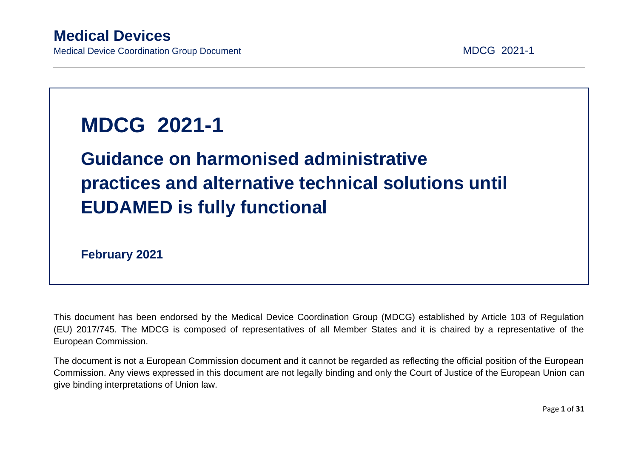# **MDCG 2021-1**

# **Guidance on harmonised administrative practices and alternative technical solutions until EUDAMED is fully functional**

**February 2021**

This document has been endorsed by the Medical Device Coordination Group (MDCG) established by Article 103 of Regulation (EU) 2017/745. The MDCG is composed of representatives of all Member States and it is chaired by a representative of the European Commission.

The document is not a European Commission document and it cannot be regarded as reflecting the official position of the European Commission. Any views expressed in this document are not legally binding and only the Court of Justice of the European Union can give binding interpretations of Union law.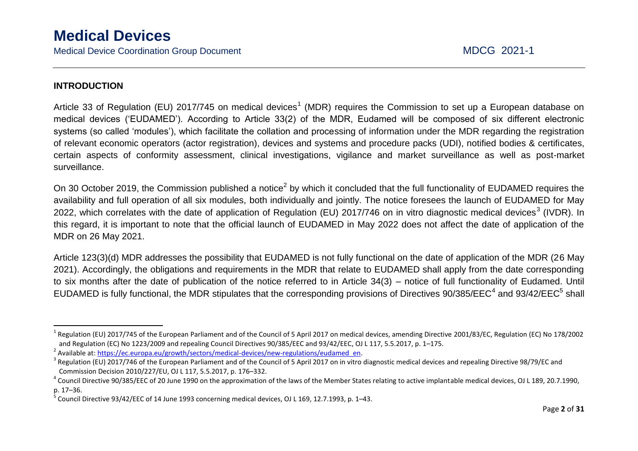### **INTRODUCTION**

 $\overline{a}$ 

Article 33 of Regulation (EU) 2017/745 on medical devices<sup>1</sup> (MDR) requires the Commission to set up a European database on medical devices ('EUDAMED'). According to Article 33(2) of the MDR, Eudamed will be composed of six different electronic systems (so called 'modules'), which facilitate the collation and processing of information under the MDR regarding the registration of relevant economic operators (actor registration), devices and systems and procedure packs (UDI), notified bodies & certificates, certain aspects of conformity assessment, clinical investigations, vigilance and market surveillance as well as post-market surveillance.

On 30 October 2019, the Commission published a notice<sup>2</sup> by which it concluded that the full functionality of EUDAMED requires the availability and full operation of all six modules, both individually and jointly. The notice foresees the launch of EUDAMED for May 2022, which correlates with the date of application of Regulation (EU) 2017/746 on in vitro diagnostic medical devices<sup>3</sup> (IVDR). In this regard, it is important to note that the official launch of EUDAMED in May 2022 does not affect the date of application of the MDR on 26 May 2021.

Article 123(3)(d) MDR addresses the possibility that EUDAMED is not fully functional on the date of application of the MDR (26 May 2021). Accordingly, the obligations and requirements in the MDR that relate to EUDAMED shall apply from the date corresponding to six months after the date of publication of the notice referred to in Article 34(3) – notice of full functionality of Eudamed. Until EUDAMED is fully functional, the MDR stipulates that the corresponding provisions of Directives 90/385/EEC<sup>4</sup> and 93/42/EEC<sup>5</sup> shall

<sup>&</sup>lt;sup>1</sup> Regulation (EU) 2017/745 of the European Parliament and of the Council of 5 April 2017 on medical devices, amending Directive 2001/83/EC, Regulation (EC) No 178/2002 and Regulation (EC) No 1223/2009 and repealing Council Directives 90/385/EEC and 93/42/EEC, OJ L 117, 5.5.2017, p. 1–175.

<sup>&</sup>lt;sup>2</sup> Available at[: https://ec.europa.eu/growth/sectors/medical-devices/new-regulations/eudamed\\_en.](https://ec.europa.eu/growth/sectors/medical-devices/new-regulations/eudamed_en)

 $3$  Regulation (EU) 2017/746 of the European Parliament and of the Council of 5 April 2017 on in vitro diagnostic medical devices and repealing Directive 98/79/EC and Commission Decision 2010/227/EU, OJ L 117, 5.5.2017, p. 176–332.

 $^4$  Council Directive 90/385/EEC of 20 June 1990 on the approximation of the laws of the Member States relating to active implantable medical devices, OJ L 189, 20.7.1990, p. 17–36.

<sup>5</sup> Council Directive 93/42/EEC of 14 June 1993 concerning medical devices, OJ L 169, 12.7.1993, p. 1–43.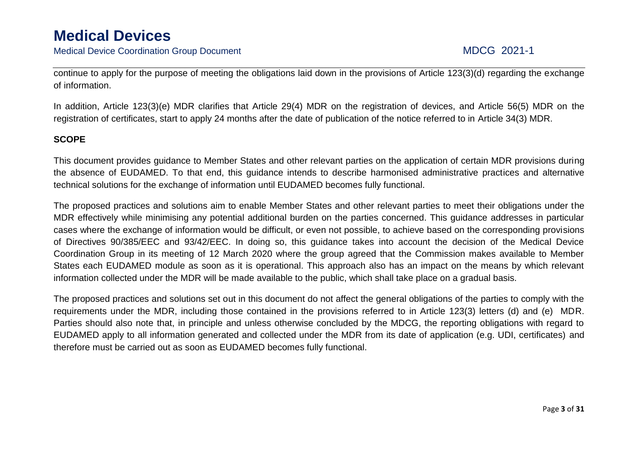Medical Device Coordination Group Document MECG 2021-1

continue to apply for the purpose of meeting the obligations laid down in the provisions of Article 123(3)(d) regarding the exchange of information.

In addition, Article 123(3)(e) MDR clarifies that Article 29(4) MDR on the registration of devices, and Article 56(5) MDR on the registration of certificates, start to apply 24 months after the date of publication of the notice referred to in Article 34(3) MDR.

### **SCOPE**

This document provides guidance to Member States and other relevant parties on the application of certain MDR provisions during the absence of EUDAMED. To that end, this guidance intends to describe harmonised administrative practices and alternative technical solutions for the exchange of information until EUDAMED becomes fully functional.

The proposed practices and solutions aim to enable Member States and other relevant parties to meet their obligations under the MDR effectively while minimising any potential additional burden on the parties concerned. This guidance addresses in particular cases where the exchange of information would be difficult, or even not possible, to achieve based on the corresponding provisions of Directives 90/385/EEC and 93/42/EEC. In doing so, this guidance takes into account the decision of the Medical Device Coordination Group in its meeting of 12 March 2020 where the group agreed that the Commission makes available to Member States each EUDAMED module as soon as it is operational. This approach also has an impact on the means by which relevant information collected under the MDR will be made available to the public, which shall take place on a gradual basis.

The proposed practices and solutions set out in this document do not affect the general obligations of the parties to comply with the requirements under the MDR, including those contained in the provisions referred to in Article 123(3) letters (d) and (e) MDR. Parties should also note that, in principle and unless otherwise concluded by the MDCG, the reporting obligations with regard to EUDAMED apply to all information generated and collected under the MDR from its date of application (e.g. UDI, certificates) and therefore must be carried out as soon as EUDAMED becomes fully functional.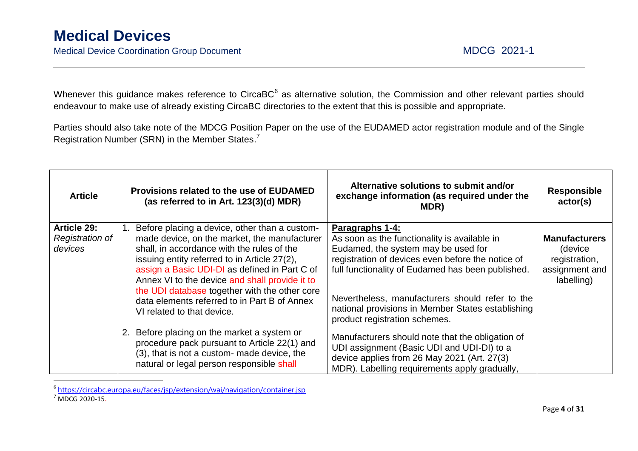Medical Device Coordination Group Document MDCG 2021-1

Whenever this guidance makes reference to CircaBC<sup>6</sup> as alternative solution, the Commission and other relevant parties should endeavour to make use of already existing CircaBC directories to the extent that this is possible and appropriate.

Parties should also take note of the MDCG Position Paper on the use of the EUDAMED actor registration module and of the Single Registration Number (SRN) in the Member States.<sup>7</sup>

| <b>Article</b>                                   |    | Provisions related to the use of EUDAMED<br>(as referred to in Art. 123(3)(d) MDR)                                                                                                                                                                                                                                                                                                                                            | Alternative solutions to submit and/or<br>exchange information (as required under the<br>MDR)                                                                                                                                                                                                                                                                    | <b>Responsible</b><br>actor(s)                                                   |
|--------------------------------------------------|----|-------------------------------------------------------------------------------------------------------------------------------------------------------------------------------------------------------------------------------------------------------------------------------------------------------------------------------------------------------------------------------------------------------------------------------|------------------------------------------------------------------------------------------------------------------------------------------------------------------------------------------------------------------------------------------------------------------------------------------------------------------------------------------------------------------|----------------------------------------------------------------------------------|
| <b>Article 29:</b><br>Registration of<br>devices | 1. | Before placing a device, other than a custom-<br>made device, on the market, the manufacturer<br>shall, in accordance with the rules of the<br>issuing entity referred to in Article 27(2),<br>assign a Basic UDI-DI as defined in Part C of<br>Annex VI to the device and shall provide it to<br>the UDI database together with the other core<br>data elements referred to in Part B of Annex<br>VI related to that device. | <b>Paragraphs 1-4:</b><br>As soon as the functionality is available in<br>Eudamed, the system may be used for<br>registration of devices even before the notice of<br>full functionality of Eudamed has been published.<br>Nevertheless, manufacturers should refer to the<br>national provisions in Member States establishing<br>product registration schemes. | <b>Manufacturers</b><br>(device<br>registration,<br>assignment and<br>labelling) |
|                                                  |    | 2. Before placing on the market a system or<br>procedure pack pursuant to Article 22(1) and<br>(3), that is not a custom- made device, the<br>natural or legal person responsible shall                                                                                                                                                                                                                                       | Manufacturers should note that the obligation of<br>UDI assignment (Basic UDI and UDI-DI) to a<br>device applies from 26 May 2021 (Art. 27(3)<br>MDR). Labelling requirements apply gradually,                                                                                                                                                                   |                                                                                  |

 6 <https://circabc.europa.eu/faces/jsp/extension/wai/navigation/container.jsp>

 $<sup>7</sup>$  MDCG 2020-15.</sup>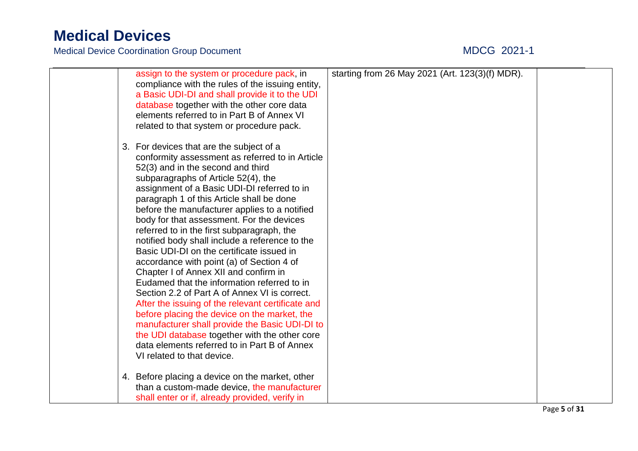|  | assign to the system or procedure pack, in<br>compliance with the rules of the issuing entity,<br>a Basic UDI-DI and shall provide it to the UDI<br>database together with the other core data<br>elements referred to in Part B of Annex VI<br>related to that system or procedure pack.                                                                                                                                                                                                                                                                                                                                                                                                                                                                                                                                                                                                                                                                                                  | starting from 26 May 2021 (Art. 123(3)(f) MDR). |  |
|--|--------------------------------------------------------------------------------------------------------------------------------------------------------------------------------------------------------------------------------------------------------------------------------------------------------------------------------------------------------------------------------------------------------------------------------------------------------------------------------------------------------------------------------------------------------------------------------------------------------------------------------------------------------------------------------------------------------------------------------------------------------------------------------------------------------------------------------------------------------------------------------------------------------------------------------------------------------------------------------------------|-------------------------------------------------|--|
|  | 3. For devices that are the subject of a<br>conformity assessment as referred to in Article<br>52(3) and in the second and third<br>subparagraphs of Article 52(4), the<br>assignment of a Basic UDI-DI referred to in<br>paragraph 1 of this Article shall be done<br>before the manufacturer applies to a notified<br>body for that assessment. For the devices<br>referred to in the first subparagraph, the<br>notified body shall include a reference to the<br>Basic UDI-DI on the certificate issued in<br>accordance with point (a) of Section 4 of<br>Chapter I of Annex XII and confirm in<br>Eudamed that the information referred to in<br>Section 2.2 of Part A of Annex VI is correct.<br>After the issuing of the relevant certificate and<br>before placing the device on the market, the<br>manufacturer shall provide the Basic UDI-DI to<br>the UDI database together with the other core<br>data elements referred to in Part B of Annex<br>VI related to that device. |                                                 |  |
|  | 4. Before placing a device on the market, other<br>than a custom-made device, the manufacturer<br>shall enter or if, already provided, verify in                                                                                                                                                                                                                                                                                                                                                                                                                                                                                                                                                                                                                                                                                                                                                                                                                                           |                                                 |  |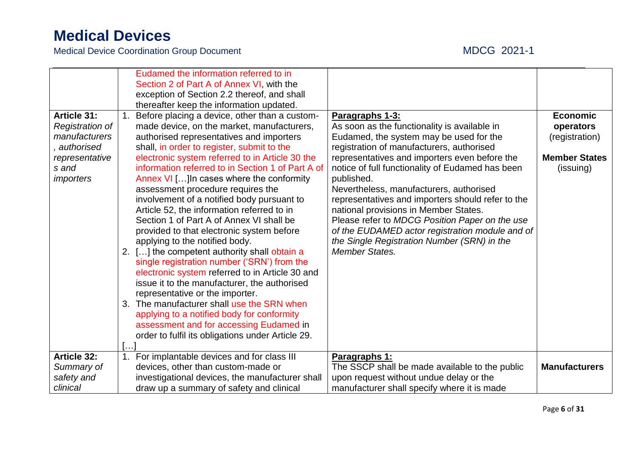|                        |    | Eudamed the information referred to in<br>Section 2 of Part A of Annex VI, with the |                                                   |                      |
|------------------------|----|-------------------------------------------------------------------------------------|---------------------------------------------------|----------------------|
|                        |    | exception of Section 2.2 thereof, and shall                                         |                                                   |                      |
|                        |    | thereafter keep the information updated.                                            |                                                   |                      |
| <b>Article 31:</b>     | 1. | Before placing a device, other than a custom-                                       | Paragraphs 1-3:                                   | <b>Economic</b>      |
| <b>Registration of</b> |    | made device, on the market, manufacturers,                                          | As soon as the functionality is available in      | operators            |
| manufacturers          |    | authorised representatives and importers                                            | Eudamed, the system may be used for the           | (registration)       |
| , authorised           |    | shall, in order to register, submit to the                                          | registration of manufacturers, authorised         |                      |
| representative         |    | electronic system referred to in Article 30 the                                     | representatives and importers even before the     | <b>Member States</b> |
| s and                  |    | information referred to in Section 1 of Part A of                                   | notice of full functionality of Eudamed has been  | (issuing)            |
| <i>importers</i>       |    | Annex VI [] In cases where the conformity                                           | published.                                        |                      |
|                        |    | assessment procedure requires the                                                   | Nevertheless, manufacturers, authorised           |                      |
|                        |    | involvement of a notified body pursuant to                                          | representatives and importers should refer to the |                      |
|                        |    | Article 52, the information referred to in                                          | national provisions in Member States.             |                      |
|                        |    | Section 1 of Part A of Annex VI shall be                                            | Please refer to MDCG Position Paper on the use    |                      |
|                        |    | provided to that electronic system before                                           | of the EUDAMED actor registration module and of   |                      |
|                        |    | applying to the notified body.                                                      | the Single Registration Number (SRN) in the       |                      |
|                        |    | 2. [] the competent authority shall obtain a                                        | <b>Member States.</b>                             |                      |
|                        |    | single registration number ('SRN') from the                                         |                                                   |                      |
|                        |    | electronic system referred to in Article 30 and                                     |                                                   |                      |
|                        |    | issue it to the manufacturer, the authorised                                        |                                                   |                      |
|                        |    | representative or the importer.                                                     |                                                   |                      |
|                        |    | 3. The manufacturer shall use the SRN when                                          |                                                   |                      |
|                        |    | applying to a notified body for conformity                                          |                                                   |                      |
|                        |    | assessment and for accessing Eudamed in                                             |                                                   |                      |
|                        |    | order to fulfil its obligations under Article 29.                                   |                                                   |                      |
|                        |    |                                                                                     |                                                   |                      |
| <b>Article 32:</b>     | 1. | For implantable devices and for class III                                           | Paragraphs 1:                                     |                      |
| Summary of             |    | devices, other than custom-made or                                                  | The SSCP shall be made available to the public    | <b>Manufacturers</b> |
| safety and             |    | investigational devices, the manufacturer shall                                     | upon request without undue delay or the           |                      |
| clinical               |    | draw up a summary of safety and clinical                                            | manufacturer shall specify where it is made       |                      |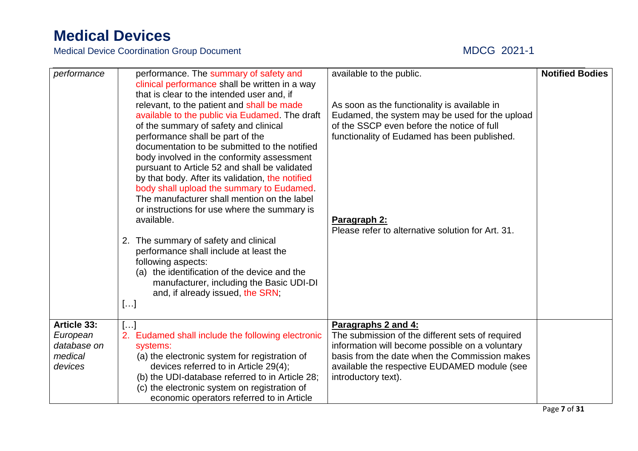| performance                                                  | performance. The summary of safety and<br>clinical performance shall be written in a way<br>that is clear to the intended user and, if<br>relevant, to the patient and shall be made<br>available to the public via Eudamed. The draft<br>of the summary of safety and clinical<br>performance shall be part of the<br>documentation to be submitted to the notified<br>body involved in the conformity assessment<br>pursuant to Article 52 and shall be validated<br>by that body. After its validation, the notified<br>body shall upload the summary to Eudamed.<br>The manufacturer shall mention on the label<br>or instructions for use where the summary is<br>available. | available to the public.<br>As soon as the functionality is available in<br>Eudamed, the system may be used for the upload<br>of the SSCP even before the notice of full<br>functionality of Eudamed has been published.<br>Paragraph 2:<br>Please refer to alternative solution for Art. 31. | <b>Notified Bodies</b> |
|--------------------------------------------------------------|-----------------------------------------------------------------------------------------------------------------------------------------------------------------------------------------------------------------------------------------------------------------------------------------------------------------------------------------------------------------------------------------------------------------------------------------------------------------------------------------------------------------------------------------------------------------------------------------------------------------------------------------------------------------------------------|-----------------------------------------------------------------------------------------------------------------------------------------------------------------------------------------------------------------------------------------------------------------------------------------------|------------------------|
|                                                              | 2. The summary of safety and clinical<br>performance shall include at least the<br>following aspects:<br>(a) the identification of the device and the<br>manufacturer, including the Basic UDI-DI<br>and, if already issued, the SRN;<br>[]                                                                                                                                                                                                                                                                                                                                                                                                                                       |                                                                                                                                                                                                                                                                                               |                        |
| Article 33:<br>European<br>database on<br>medical<br>devices | []<br>2. Eudamed shall include the following electronic<br>systems:<br>(a) the electronic system for registration of<br>devices referred to in Article 29(4);<br>(b) the UDI-database referred to in Article 28;<br>(c) the electronic system on registration of<br>economic operators referred to in Article                                                                                                                                                                                                                                                                                                                                                                     | Paragraphs 2 and 4:<br>The submission of the different sets of required<br>information will become possible on a voluntary<br>basis from the date when the Commission makes<br>available the respective EUDAMED module (see<br>introductory text).                                            |                        |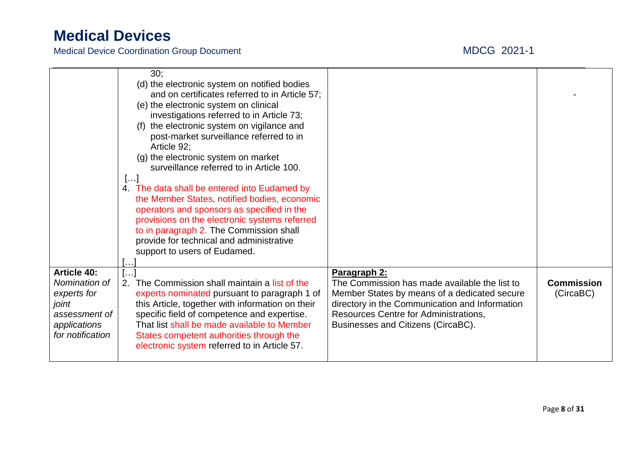| <b>Article 40:</b>                                                                         | 30:<br>(d) the electronic system on notified bodies<br>and on certificates referred to in Article 57;<br>(e) the electronic system on clinical<br>investigations referred to in Article 73;<br>(f) the electronic system on vigilance and<br>post-market surveillance referred to in<br>Article 92;<br>(g) the electronic system on market<br>surveillance referred to in Article 100.<br>$[]$<br>4. The data shall be entered into Eudamed by<br>the Member States, notified bodies, economic<br>operators and sponsors as specified in the<br>provisions on the electronic systems referred<br>to in paragraph 2. The Commission shall<br>provide for technical and administrative<br>support to users of Eudamed.<br>$\mathbf{I}$ | Paragraph 2:                                                                                                                                                                                                                   |                                |
|--------------------------------------------------------------------------------------------|--------------------------------------------------------------------------------------------------------------------------------------------------------------------------------------------------------------------------------------------------------------------------------------------------------------------------------------------------------------------------------------------------------------------------------------------------------------------------------------------------------------------------------------------------------------------------------------------------------------------------------------------------------------------------------------------------------------------------------------|--------------------------------------------------------------------------------------------------------------------------------------------------------------------------------------------------------------------------------|--------------------------------|
| Nomination of<br>experts for<br>joint<br>assessment of<br>applications<br>for notification | 2. The Commission shall maintain a list of the<br>experts nominated pursuant to paragraph 1 of<br>this Article, together with information on their<br>specific field of competence and expertise.<br>That list shall be made available to Member<br>States competent authorities through the<br>electronic system referred to in Article 57.                                                                                                                                                                                                                                                                                                                                                                                         | The Commission has made available the list to<br>Member States by means of a dedicated secure<br>directory in the Communication and Information<br>Resources Centre for Administrations,<br>Businesses and Citizens (CircaBC). | <b>Commission</b><br>(CircaBC) |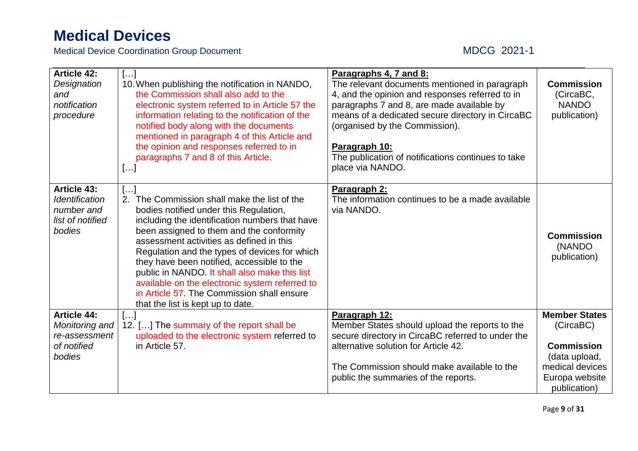| <b>Article 42:</b><br>Paragraphs 4, 7 and 8:<br>[]<br>The relevant documents mentioned in paragraph<br>10. When publishing the notification in NANDO,<br>Designation<br>the Commission shall also add to the<br>4, and the opinion and responses referred to in<br>and<br>notification<br>electronic system referred to in Article 57 the<br>paragraphs 7 and 8, are made available by<br>means of a dedicated secure directory in CircaBC<br>information relating to the notification of the<br>procedure<br>notified body along with the documents<br>(organised by the Commission).<br>mentioned in paragraph 4 of this Article and<br>the opinion and responses referred to in<br>Paragraph 10:<br>paragraphs 7 and 8 of this Article.<br>The publication of notifications continues to take<br>place via NANDO.<br>[] | <b>Commission</b><br>(CircaBC,<br><b>NANDO</b><br>publication) |
|----------------------------------------------------------------------------------------------------------------------------------------------------------------------------------------------------------------------------------------------------------------------------------------------------------------------------------------------------------------------------------------------------------------------------------------------------------------------------------------------------------------------------------------------------------------------------------------------------------------------------------------------------------------------------------------------------------------------------------------------------------------------------------------------------------------------------|----------------------------------------------------------------|
| <b>Article 43:</b><br>Paragraph 2:<br>[]<br>The information continues to be a made available<br><b>Identification</b><br>The Commission shall make the list of the<br>2.<br>number and<br>bodies notified under this Regulation,<br>via NANDO.<br>including the identification numbers that have<br>list of notified<br>bodies<br>been assigned to them and the conformity<br>assessment activities as defined in this<br>Regulation and the types of devices for which<br>they have been notified, accessible to the<br>public in NANDO. It shall also make this list<br>available on the electronic system referred to<br>in Article 57. The Commission shall ensure<br>that the list is kept up to date.                                                                                                                | <b>Commission</b><br>(NANDO<br>publication)                    |
| <b>Article 44:</b><br>Paragraph 12:<br>[]                                                                                                                                                                                                                                                                                                                                                                                                                                                                                                                                                                                                                                                                                                                                                                                  | <b>Member States</b>                                           |
| Monitoring and<br>12. [] The summary of the report shall be<br>Member States should upload the reports to the<br>secure directory in CircaBC referred to under the<br>uploaded to the electronic system referred to<br>re-assessment                                                                                                                                                                                                                                                                                                                                                                                                                                                                                                                                                                                       | (CircaBC)                                                      |
| alternative solution for Article 42.<br>of notified<br>in Article 57.                                                                                                                                                                                                                                                                                                                                                                                                                                                                                                                                                                                                                                                                                                                                                      | <b>Commission</b>                                              |
| bodies                                                                                                                                                                                                                                                                                                                                                                                                                                                                                                                                                                                                                                                                                                                                                                                                                     | (data upload,                                                  |
| The Commission should make available to the                                                                                                                                                                                                                                                                                                                                                                                                                                                                                                                                                                                                                                                                                                                                                                                | medical devices                                                |
| public the summaries of the reports.                                                                                                                                                                                                                                                                                                                                                                                                                                                                                                                                                                                                                                                                                                                                                                                       | Europa website<br>publication)                                 |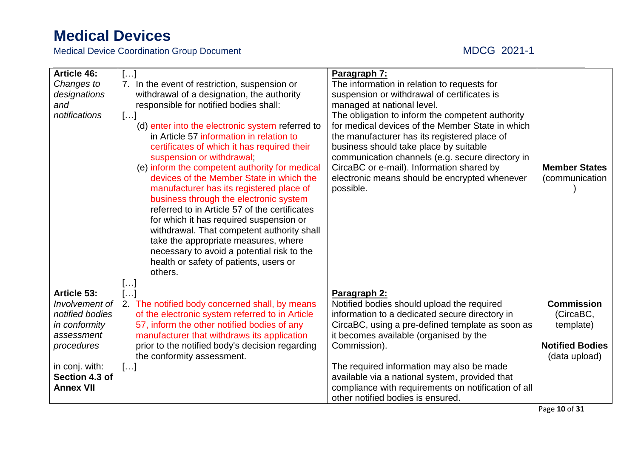| <b>Article 46:</b><br>Changes to<br>designations<br>and<br>notifications                                                                              | []<br>7. In the event of restriction, suspension or<br>withdrawal of a designation, the authority<br>responsible for notified bodies shall:<br>[]<br>(d) enter into the electronic system referred to<br>in Article 57 information in relation to<br>certificates of which it has required their<br>suspension or withdrawal;<br>(e) inform the competent authority for medical<br>devices of the Member State in which the<br>manufacturer has its registered place of<br>business through the electronic system<br>referred to in Article 57 of the certificates<br>for which it has required suspension or<br>withdrawal. That competent authority shall<br>take the appropriate measures, where<br>necessary to avoid a potential risk to the<br>health or safety of patients, users or | Paragraph 7:<br>The information in relation to requests for<br>suspension or withdrawal of certificates is<br>managed at national level.<br>The obligation to inform the competent authority<br>for medical devices of the Member State in which<br>the manufacturer has its registered place of<br>business should take place by suitable<br>communication channels (e.g. secure directory in<br>CircaBC or e-mail). Information shared by<br>electronic means should be encrypted whenever<br>possible. | <b>Member States</b><br>(communication                                                 |
|-------------------------------------------------------------------------------------------------------------------------------------------------------|---------------------------------------------------------------------------------------------------------------------------------------------------------------------------------------------------------------------------------------------------------------------------------------------------------------------------------------------------------------------------------------------------------------------------------------------------------------------------------------------------------------------------------------------------------------------------------------------------------------------------------------------------------------------------------------------------------------------------------------------------------------------------------------------|-----------------------------------------------------------------------------------------------------------------------------------------------------------------------------------------------------------------------------------------------------------------------------------------------------------------------------------------------------------------------------------------------------------------------------------------------------------------------------------------------------------|----------------------------------------------------------------------------------------|
|                                                                                                                                                       | others.<br>$\ldots$ .                                                                                                                                                                                                                                                                                                                                                                                                                                                                                                                                                                                                                                                                                                                                                                       |                                                                                                                                                                                                                                                                                                                                                                                                                                                                                                           |                                                                                        |
| Article 53:<br>Involvement of<br>notified bodies<br>in conformity<br>assessment<br>procedures<br>in conj. with:<br>Section 4.3 of<br><b>Annex VII</b> | $[\ldots]$<br>2. The notified body concerned shall, by means<br>of the electronic system referred to in Article<br>57, inform the other notified bodies of any<br>manufacturer that withdraws its application<br>prior to the notified body's decision regarding<br>the conformity assessment.<br>[]                                                                                                                                                                                                                                                                                                                                                                                                                                                                                        | Paragraph 2:<br>Notified bodies should upload the required<br>information to a dedicated secure directory in<br>CircaBC, using a pre-defined template as soon as<br>it becomes available (organised by the<br>Commission).<br>The required information may also be made<br>available via a national system, provided that<br>compliance with requirements on notification of all<br>other notified bodies is ensured.                                                                                     | <b>Commission</b><br>(CircaBC,<br>template)<br><b>Notified Bodies</b><br>(data upload) |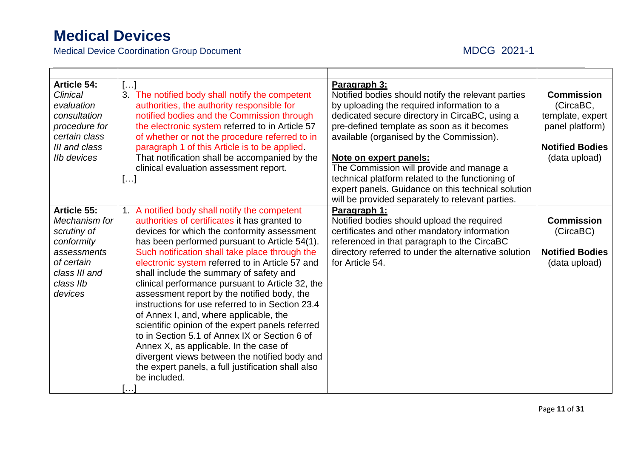| <b>Article 54:</b><br><b>Clinical</b><br>evaluation<br>consultation<br>procedure for<br>certain class<br>III and class<br><b>IIb devices</b> | $\left[\ldots\right]$<br>3. The notified body shall notify the competent<br>authorities, the authority responsible for<br>notified bodies and the Commission through<br>the electronic system referred to in Article 57<br>of whether or not the procedure referred to in<br>paragraph 1 of this Article is to be applied.<br>That notification shall be accompanied by the<br>clinical evaluation assessment report.<br>[]                                                                                                                                                                                                                                                                                                                                                                                           | Paragraph 3:<br>Notified bodies should notify the relevant parties<br>by uploading the required information to a<br>dedicated secure directory in CircaBC, using a<br>pre-defined template as soon as it becomes<br>available (organised by the Commission).<br>Note on expert panels:<br>The Commission will provide and manage a<br>technical platform related to the functioning of<br>expert panels. Guidance on this technical solution<br>will be provided separately to relevant parties. | <b>Commission</b><br>(CircaBC,<br>template, expert<br>panel platform)<br><b>Notified Bodies</b><br>(data upload) |
|----------------------------------------------------------------------------------------------------------------------------------------------|-----------------------------------------------------------------------------------------------------------------------------------------------------------------------------------------------------------------------------------------------------------------------------------------------------------------------------------------------------------------------------------------------------------------------------------------------------------------------------------------------------------------------------------------------------------------------------------------------------------------------------------------------------------------------------------------------------------------------------------------------------------------------------------------------------------------------|--------------------------------------------------------------------------------------------------------------------------------------------------------------------------------------------------------------------------------------------------------------------------------------------------------------------------------------------------------------------------------------------------------------------------------------------------------------------------------------------------|------------------------------------------------------------------------------------------------------------------|
| Article 55:<br>Mechanism for<br>scrutiny of<br>conformity<br>assessments<br>of certain<br>class III and<br>class IIb<br>devices              | 1. A notified body shall notify the competent<br>authorities of certificates it has granted to<br>devices for which the conformity assessment<br>has been performed pursuant to Article 54(1).<br>Such notification shall take place through the<br>electronic system referred to in Article 57 and<br>shall include the summary of safety and<br>clinical performance pursuant to Article 32, the<br>assessment report by the notified body, the<br>instructions for use referred to in Section 23.4<br>of Annex I, and, where applicable, the<br>scientific opinion of the expert panels referred<br>to in Section 5.1 of Annex IX or Section 6 of<br>Annex X, as applicable. In the case of<br>divergent views between the notified body and<br>the expert panels, a full justification shall also<br>be included. | Paragraph 1:<br>Notified bodies should upload the required<br>certificates and other mandatory information<br>referenced in that paragraph to the CircaBC<br>directory referred to under the alternative solution<br>for Article 54.                                                                                                                                                                                                                                                             | <b>Commission</b><br>(CircaBC)<br><b>Notified Bodies</b><br>(data upload)                                        |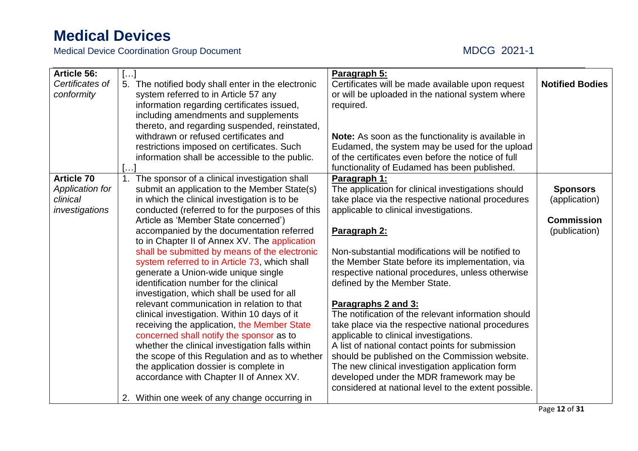| <b>Article 56:</b> | $\left[\ldots\right]$                                                                    | Paragraph 5:                                                                                |                        |
|--------------------|------------------------------------------------------------------------------------------|---------------------------------------------------------------------------------------------|------------------------|
| Certificates of    | 5. The notified body shall enter in the electronic                                       | Certificates will be made available upon request                                            | <b>Notified Bodies</b> |
| conformity         | system referred to in Article 57 any                                                     | or will be uploaded in the national system where                                            |                        |
|                    | information regarding certificates issued,                                               | required.                                                                                   |                        |
|                    | including amendments and supplements                                                     |                                                                                             |                        |
|                    | thereto, and regarding suspended, reinstated,                                            |                                                                                             |                        |
|                    | withdrawn or refused certificates and                                                    | <b>Note:</b> As soon as the functionality is available in                                   |                        |
|                    | restrictions imposed on certificates. Such                                               | Eudamed, the system may be used for the upload                                              |                        |
|                    | information shall be accessible to the public.                                           | of the certificates even before the notice of full                                          |                        |
|                    |                                                                                          | functionality of Eudamed has been published.                                                |                        |
| <b>Article 70</b>  | 1. The sponsor of a clinical investigation shall                                         | Paragraph 1:                                                                                |                        |
| Application for    | submit an application to the Member State(s)                                             | The application for clinical investigations should                                          | <b>Sponsors</b>        |
| clinical           | in which the clinical investigation is to be                                             | take place via the respective national procedures                                           | (application)          |
| investigations     | conducted (referred to for the purposes of this                                          | applicable to clinical investigations.                                                      |                        |
|                    | Article as 'Member State concerned')                                                     |                                                                                             | <b>Commission</b>      |
|                    | accompanied by the documentation referred                                                | Paragraph 2:                                                                                | (publication)          |
|                    | to in Chapter II of Annex XV. The application                                            |                                                                                             |                        |
|                    | shall be submitted by means of the electronic                                            | Non-substantial modifications will be notified to                                           |                        |
|                    | system referred to in Article 73, which shall                                            | the Member State before its implementation, via                                             |                        |
|                    | generate a Union-wide unique single                                                      | respective national procedures, unless otherwise                                            |                        |
|                    | identification number for the clinical                                                   | defined by the Member State.                                                                |                        |
|                    | investigation, which shall be used for all                                               |                                                                                             |                        |
|                    | relevant communication in relation to that                                               | Paragraphs 2 and 3:                                                                         |                        |
|                    | clinical investigation. Within 10 days of it                                             | The notification of the relevant information should                                         |                        |
|                    | receiving the application, the Member State                                              | take place via the respective national procedures                                           |                        |
|                    | concerned shall notify the sponsor as to                                                 | applicable to clinical investigations.                                                      |                        |
|                    | whether the clinical investigation falls within                                          | A list of national contact points for submission                                            |                        |
|                    | the scope of this Regulation and as to whether<br>the application dossier is complete in | should be published on the Commission website.                                              |                        |
|                    | accordance with Chapter II of Annex XV.                                                  | The new clinical investigation application form<br>developed under the MDR framework may be |                        |
|                    |                                                                                          | considered at national level to the extent possible.                                        |                        |
|                    | 2. Within one week of any change occurring in                                            |                                                                                             |                        |
|                    |                                                                                          |                                                                                             |                        |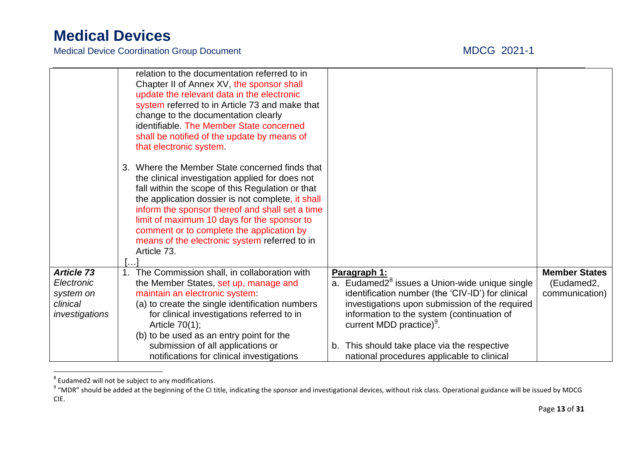|                       | relation to the documentation referred to in<br>Chapter II of Annex XV, the sponsor shall<br>update the relevant data in the electronic<br>system referred to in Article 73 and make that<br>change to the documentation clearly<br>identifiable. The Member State concerned                                                                                                                                              |                                                                                              |                      |
|-----------------------|---------------------------------------------------------------------------------------------------------------------------------------------------------------------------------------------------------------------------------------------------------------------------------------------------------------------------------------------------------------------------------------------------------------------------|----------------------------------------------------------------------------------------------|----------------------|
|                       | shall be notified of the update by means of<br>that electronic system.                                                                                                                                                                                                                                                                                                                                                    |                                                                                              |                      |
|                       | 3. Where the Member State concerned finds that<br>the clinical investigation applied for does not<br>fall within the scope of this Regulation or that<br>the application dossier is not complete, it shall<br>inform the sponsor thereof and shall set a time<br>limit of maximum 10 days for the sponsor to<br>comment or to complete the application by<br>means of the electronic system referred to in<br>Article 73. |                                                                                              |                      |
| <b>Article 73</b>     | 1. The Commission shall, in collaboration with                                                                                                                                                                                                                                                                                                                                                                            | Paragraph 1:                                                                                 | <b>Member States</b> |
| Electronic            | the Member States, set up, manage and                                                                                                                                                                                                                                                                                                                                                                                     | a. Eudamed2 <sup>8</sup> issues a Union-wide unique single                                   | (Eudamed2,           |
| system on<br>clinical | maintain an electronic system:                                                                                                                                                                                                                                                                                                                                                                                            | identification number (the 'CIV-ID') for clinical                                            | communication)       |
| investigations        | (a) to create the single identification numbers<br>for clinical investigations referred to in                                                                                                                                                                                                                                                                                                                             | investigations upon submission of the required<br>information to the system (continuation of |                      |
|                       | Article $70(1)$ ;                                                                                                                                                                                                                                                                                                                                                                                                         | current MDD practice) <sup>9</sup> .                                                         |                      |
|                       | (b) to be used as an entry point for the                                                                                                                                                                                                                                                                                                                                                                                  |                                                                                              |                      |
|                       | submission of all applications or                                                                                                                                                                                                                                                                                                                                                                                         | b. This should take place via the respective                                                 |                      |
|                       | notifications for clinical investigations                                                                                                                                                                                                                                                                                                                                                                                 | national procedures applicable to clinical                                                   |                      |

<sup>8&</sup>lt;br><sup>8</sup> Eudamed2 will not be subject to any modifications.<br><sup>9</sup> "MDR" should be added at the beginning of the CI title, indicating the sponsor and investigational devices, without risk class. Operational guidance will be issu CIE.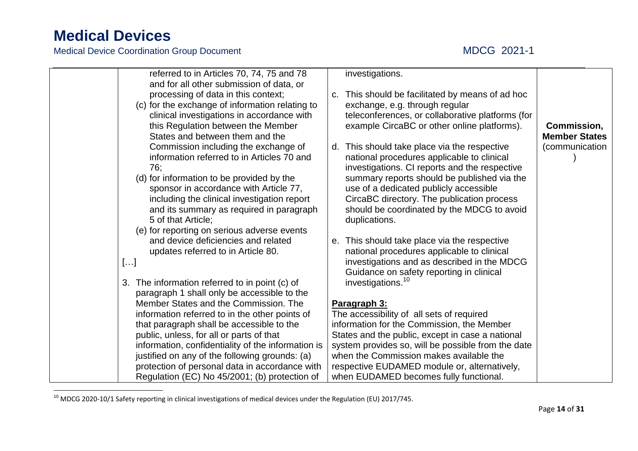$\overline{a}$ 

| referred to in Articles 70, 74, 75 and 78                                                       |    | investigations.                                                                               |                      |
|-------------------------------------------------------------------------------------------------|----|-----------------------------------------------------------------------------------------------|----------------------|
| and for all other submission of data, or                                                        |    |                                                                                               |                      |
| processing of data in this context;                                                             | C. | This should be facilitated by means of ad hoc                                                 |                      |
| (c) for the exchange of information relating to                                                 |    | exchange, e.g. through regular                                                                |                      |
| clinical investigations in accordance with                                                      |    | teleconferences, or collaborative platforms (for                                              |                      |
| this Regulation between the Member                                                              |    | example CircaBC or other online platforms).                                                   | Commission,          |
| States and between them and the                                                                 |    |                                                                                               | <b>Member States</b> |
| Commission including the exchange of                                                            | d. | This should take place via the respective                                                     | (communication       |
| information referred to in Articles 70 and                                                      |    | national procedures applicable to clinical                                                    |                      |
| 76;                                                                                             |    | investigations. CI reports and the respective                                                 |                      |
| (d) for information to be provided by the                                                       |    | summary reports should be published via the                                                   |                      |
| sponsor in accordance with Article 77,                                                          |    | use of a dedicated publicly accessible                                                        |                      |
| including the clinical investigation report                                                     |    | CircaBC directory. The publication process                                                    |                      |
| and its summary as required in paragraph                                                        |    | should be coordinated by the MDCG to avoid                                                    |                      |
| 5 of that Article;                                                                              |    | duplications.                                                                                 |                      |
| (e) for reporting on serious adverse events                                                     |    |                                                                                               |                      |
| and device deficiencies and related                                                             |    | e. This should take place via the respective                                                  |                      |
| updates referred to in Article 80.                                                              |    | national procedures applicable to clinical                                                    |                      |
| []                                                                                              |    | investigations and as described in the MDCG                                                   |                      |
|                                                                                                 |    | Guidance on safety reporting in clinical                                                      |                      |
| 3. The information referred to in point (c) of                                                  |    | investigations. <sup>10</sup>                                                                 |                      |
| paragraph 1 shall only be accessible to the                                                     |    |                                                                                               |                      |
| Member States and the Commission. The                                                           |    | Paragraph 3:                                                                                  |                      |
| information referred to in the other points of                                                  |    | The accessibility of all sets of required                                                     |                      |
| that paragraph shall be accessible to the                                                       |    | information for the Commission, the Member                                                    |                      |
| public, unless, for all or parts of that                                                        |    | States and the public, except in case a national                                              |                      |
| information, confidentiality of the information is                                              |    | system provides so, will be possible from the date<br>when the Commission makes available the |                      |
| justified on any of the following grounds: (a)                                                  |    |                                                                                               |                      |
| protection of personal data in accordance with<br>Regulation (EC) No 45/2001; (b) protection of |    | respective EUDAMED module or, alternatively,<br>when EUDAMED becomes fully functional.        |                      |
|                                                                                                 |    |                                                                                               |                      |

 $^{10}$  MDCG 2020-10/1 Safety reporting in clinical investigations of medical devices under the Regulation (EU) 2017/745.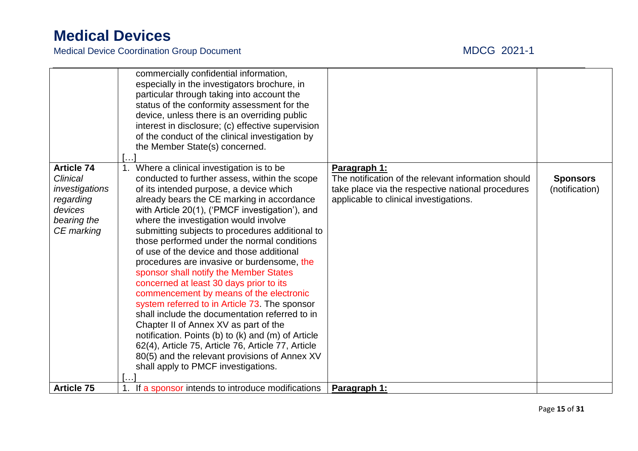|                   | commercially confidential information,             |                                                     |                 |
|-------------------|----------------------------------------------------|-----------------------------------------------------|-----------------|
|                   | especially in the investigators brochure, in       |                                                     |                 |
|                   | particular through taking into account the         |                                                     |                 |
|                   | status of the conformity assessment for the        |                                                     |                 |
|                   | device, unless there is an overriding public       |                                                     |                 |
|                   | interest in disclosure; (c) effective supervision  |                                                     |                 |
|                   | of the conduct of the clinical investigation by    |                                                     |                 |
|                   | the Member State(s) concerned.                     |                                                     |                 |
|                   |                                                    |                                                     |                 |
| <b>Article 74</b> | Where a clinical investigation is to be            | Paragraph 1:                                        |                 |
| <b>Clinical</b>   | conducted to further assess, within the scope      | The notification of the relevant information should | <b>Sponsors</b> |
| investigations    | of its intended purpose, a device which            | take place via the respective national procedures   | (notification)  |
| regarding         | already bears the CE marking in accordance         | applicable to clinical investigations.              |                 |
| devices           | with Article 20(1), ('PMCF investigation'), and    |                                                     |                 |
| bearing the       | where the investigation would involve              |                                                     |                 |
| CE marking        | submitting subjects to procedures additional to    |                                                     |                 |
|                   | those performed under the normal conditions        |                                                     |                 |
|                   | of use of the device and those additional          |                                                     |                 |
|                   | procedures are invasive or burdensome, the         |                                                     |                 |
|                   | sponsor shall notify the Member States             |                                                     |                 |
|                   | concerned at least 30 days prior to its            |                                                     |                 |
|                   | commencement by means of the electronic            |                                                     |                 |
|                   | system referred to in Article 73. The sponsor      |                                                     |                 |
|                   | shall include the documentation referred to in     |                                                     |                 |
|                   | Chapter II of Annex XV as part of the              |                                                     |                 |
|                   | notification. Points (b) to (k) and (m) of Article |                                                     |                 |
|                   | 62(4), Article 75, Article 76, Article 77, Article |                                                     |                 |
|                   | 80(5) and the relevant provisions of Annex XV      |                                                     |                 |
|                   | shall apply to PMCF investigations.                |                                                     |                 |
|                   |                                                    |                                                     |                 |
| <b>Article 75</b> | If a sponsor intends to introduce modifications    | Paragraph 1:                                        |                 |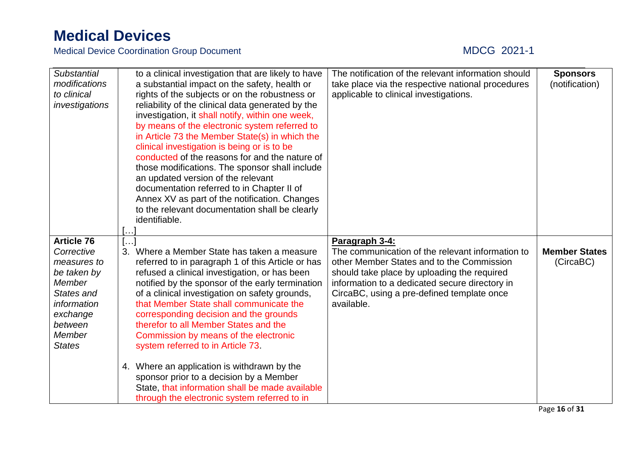| <b>Substantial</b><br>modifications<br>to clinical<br>investigations                                                                                   | to a clinical investigation that are likely to have<br>a substantial impact on the safety, health or<br>rights of the subjects or on the robustness or<br>reliability of the clinical data generated by the<br>investigation, it shall notify, within one week,<br>by means of the electronic system referred to<br>in Article 73 the Member State(s) in which the<br>clinical investigation is being or is to be<br>conducted of the reasons for and the nature of<br>those modifications. The sponsor shall include<br>an updated version of the relevant<br>documentation referred to in Chapter II of<br>Annex XV as part of the notification. Changes<br>to the relevant documentation shall be clearly<br>identifiable. | The notification of the relevant information should<br>take place via the respective national procedures<br>applicable to clinical investigations.                                                                                                                           | <b>Sponsors</b><br>(notification) |
|--------------------------------------------------------------------------------------------------------------------------------------------------------|-------------------------------------------------------------------------------------------------------------------------------------------------------------------------------------------------------------------------------------------------------------------------------------------------------------------------------------------------------------------------------------------------------------------------------------------------------------------------------------------------------------------------------------------------------------------------------------------------------------------------------------------------------------------------------------------------------------------------------|------------------------------------------------------------------------------------------------------------------------------------------------------------------------------------------------------------------------------------------------------------------------------|-----------------------------------|
| <b>Article 76</b><br>Corrective<br>measures to<br>be taken by<br>Member<br>States and<br>information<br>exchange<br>between<br>Member<br><b>States</b> | $[\dots]$<br>3. Where a Member State has taken a measure<br>referred to in paragraph 1 of this Article or has<br>refused a clinical investigation, or has been<br>notified by the sponsor of the early termination<br>of a clinical investigation on safety grounds,<br>that Member State shall communicate the<br>corresponding decision and the grounds<br>therefor to all Member States and the<br>Commission by means of the electronic<br>system referred to in Article 73.<br>4. Where an application is withdrawn by the<br>sponsor prior to a decision by a Member<br>State, that information shall be made available<br>through the electronic system referred to in                                                 | Paragraph 3-4:<br>The communication of the relevant information to<br>other Member States and to the Commission<br>should take place by uploading the required<br>information to a dedicated secure directory in<br>CircaBC, using a pre-defined template once<br>available. | <b>Member States</b><br>(CircaBC) |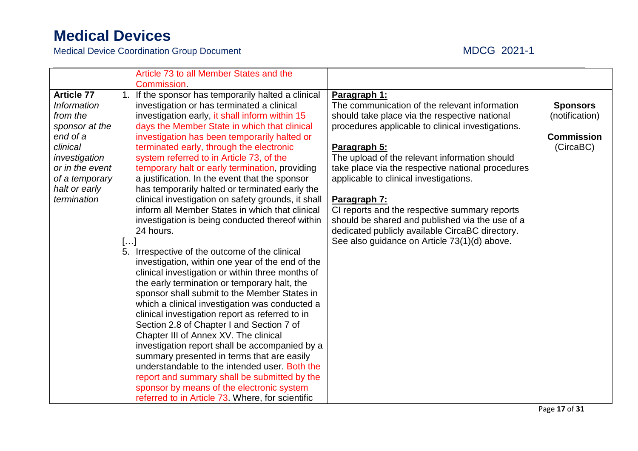|                    |    | Article 73 to all Member States and the            |                                                   |                   |
|--------------------|----|----------------------------------------------------|---------------------------------------------------|-------------------|
|                    |    | <b>Commission</b>                                  |                                                   |                   |
| <b>Article 77</b>  | 1. | If the sponsor has temporarily halted a clinical   | Paragraph 1:                                      |                   |
| <b>Information</b> |    | investigation or has terminated a clinical         | The communication of the relevant information     | <b>Sponsors</b>   |
| from the           |    | investigation early, it shall inform within 15     | should take place via the respective national     | (notification)    |
| sponsor at the     |    | days the Member State in which that clinical       | procedures applicable to clinical investigations. |                   |
| end of a           |    | investigation has been temporarily halted or       |                                                   | <b>Commission</b> |
| clinical           |    | terminated early, through the electronic           | Paragraph 5:                                      | (CircaBC)         |
| investigation      |    | system referred to in Article 73, of the           | The upload of the relevant information should     |                   |
| or in the event    |    | temporary halt or early termination, providing     | take place via the respective national procedures |                   |
| of a temporary     |    | a justification. In the event that the sponsor     | applicable to clinical investigations.            |                   |
| halt or early      |    | has temporarily halted or terminated early the     |                                                   |                   |
| termination        |    | clinical investigation on safety grounds, it shall | Paragraph 7:                                      |                   |
|                    |    | inform all Member States in which that clinical    | CI reports and the respective summary reports     |                   |
|                    |    | investigation is being conducted thereof within    | should be shared and published via the use of a   |                   |
|                    |    | 24 hours.                                          | dedicated publicly available CircaBC directory.   |                   |
|                    | [] |                                                    | See also guidance on Article 73(1)(d) above.      |                   |
|                    |    | 5. Irrespective of the outcome of the clinical     |                                                   |                   |
|                    |    | investigation, within one year of the end of the   |                                                   |                   |
|                    |    | clinical investigation or within three months of   |                                                   |                   |
|                    |    | the early termination or temporary halt, the       |                                                   |                   |
|                    |    | sponsor shall submit to the Member States in       |                                                   |                   |
|                    |    | which a clinical investigation was conducted a     |                                                   |                   |
|                    |    | clinical investigation report as referred to in    |                                                   |                   |
|                    |    | Section 2.8 of Chapter I and Section 7 of          |                                                   |                   |
|                    |    | Chapter III of Annex XV. The clinical              |                                                   |                   |
|                    |    | investigation report shall be accompanied by a     |                                                   |                   |
|                    |    | summary presented in terms that are easily         |                                                   |                   |
|                    |    | understandable to the intended user. Both the      |                                                   |                   |
|                    |    | report and summary shall be submitted by the       |                                                   |                   |
|                    |    | sponsor by means of the electronic system          |                                                   |                   |
|                    |    | referred to in Article 73. Where, for scientific   |                                                   |                   |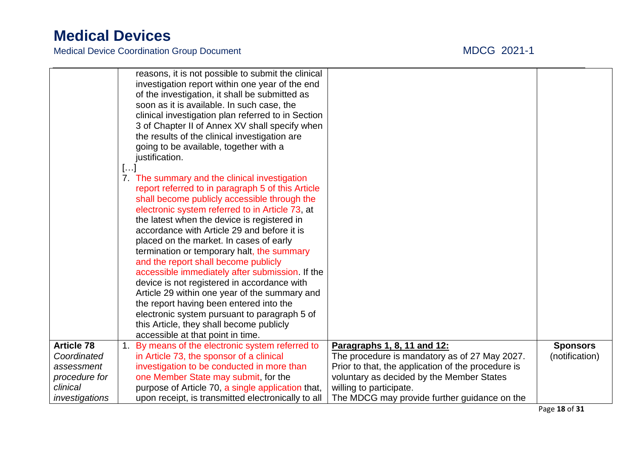|                   |    | reasons, it is not possible to submit the clinical<br>investigation report within one year of the end<br>of the investigation, it shall be submitted as<br>soon as it is available. In such case, the |                                                    |                 |
|-------------------|----|-------------------------------------------------------------------------------------------------------------------------------------------------------------------------------------------------------|----------------------------------------------------|-----------------|
|                   |    | clinical investigation plan referred to in Section                                                                                                                                                    |                                                    |                 |
|                   |    | 3 of Chapter II of Annex XV shall specify when                                                                                                                                                        |                                                    |                 |
|                   |    | the results of the clinical investigation are                                                                                                                                                         |                                                    |                 |
|                   |    | going to be available, together with a                                                                                                                                                                |                                                    |                 |
|                   |    | justification.                                                                                                                                                                                        |                                                    |                 |
|                   | [] |                                                                                                                                                                                                       |                                                    |                 |
|                   |    | 7. The summary and the clinical investigation                                                                                                                                                         |                                                    |                 |
|                   |    | report referred to in paragraph 5 of this Article                                                                                                                                                     |                                                    |                 |
|                   |    | shall become publicly accessible through the                                                                                                                                                          |                                                    |                 |
|                   |    | electronic system referred to in Article 73, at                                                                                                                                                       |                                                    |                 |
|                   |    | the latest when the device is registered in                                                                                                                                                           |                                                    |                 |
|                   |    | accordance with Article 29 and before it is                                                                                                                                                           |                                                    |                 |
|                   |    | placed on the market. In cases of early<br>termination or temporary halt, the summary                                                                                                                 |                                                    |                 |
|                   |    | and the report shall become publicly                                                                                                                                                                  |                                                    |                 |
|                   |    | accessible immediately after submission. If the                                                                                                                                                       |                                                    |                 |
|                   |    | device is not registered in accordance with                                                                                                                                                           |                                                    |                 |
|                   |    | Article 29 within one year of the summary and                                                                                                                                                         |                                                    |                 |
|                   |    | the report having been entered into the                                                                                                                                                               |                                                    |                 |
|                   |    | electronic system pursuant to paragraph 5 of                                                                                                                                                          |                                                    |                 |
|                   |    | this Article, they shall become publicly                                                                                                                                                              |                                                    |                 |
|                   |    | accessible at that point in time.                                                                                                                                                                     |                                                    |                 |
| <b>Article 78</b> |    | 1. By means of the electronic system referred to                                                                                                                                                      | Paragraphs 1, 8, 11 and 12:                        | <b>Sponsors</b> |
| Coordinated       |    | in Article 73, the sponsor of a clinical                                                                                                                                                              | The procedure is mandatory as of 27 May 2027.      | (notification)  |
| assessment        |    | investigation to be conducted in more than                                                                                                                                                            | Prior to that, the application of the procedure is |                 |
| procedure for     |    | one Member State may submit, for the                                                                                                                                                                  | voluntary as decided by the Member States          |                 |
| clinical          |    | purpose of Article 70, a single application that,                                                                                                                                                     | willing to participate.                            |                 |
| investigations    |    | upon receipt, is transmitted electronically to all                                                                                                                                                    | The MDCG may provide further guidance on the       |                 |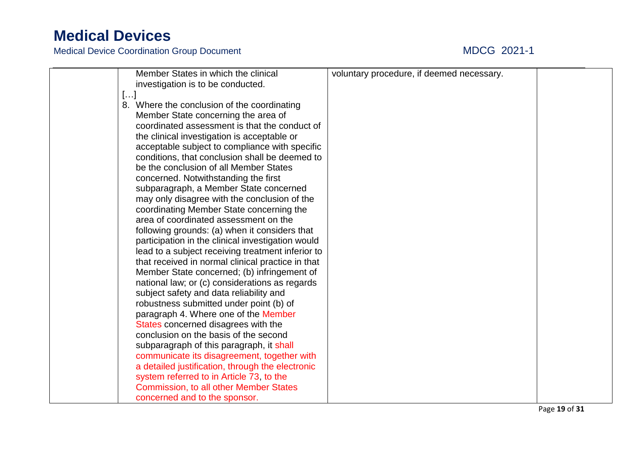| Member States in which the clinical<br>investigation is to be conducted. | voluntary procedure, if deemed necessary. |  |
|--------------------------------------------------------------------------|-------------------------------------------|--|
| []                                                                       |                                           |  |
| 8. Where the conclusion of the coordinating                              |                                           |  |
| Member State concerning the area of                                      |                                           |  |
| coordinated assessment is that the conduct of                            |                                           |  |
| the clinical investigation is acceptable or                              |                                           |  |
| acceptable subject to compliance with specific                           |                                           |  |
| conditions, that conclusion shall be deemed to                           |                                           |  |
| be the conclusion of all Member States                                   |                                           |  |
| concerned. Notwithstanding the first                                     |                                           |  |
| subparagraph, a Member State concerned                                   |                                           |  |
| may only disagree with the conclusion of the                             |                                           |  |
| coordinating Member State concerning the                                 |                                           |  |
| area of coordinated assessment on the                                    |                                           |  |
| following grounds: (a) when it considers that                            |                                           |  |
| participation in the clinical investigation would                        |                                           |  |
| lead to a subject receiving treatment inferior to                        |                                           |  |
| that received in normal clinical practice in that                        |                                           |  |
| Member State concerned; (b) infringement of                              |                                           |  |
| national law; or (c) considerations as regards                           |                                           |  |
| subject safety and data reliability and                                  |                                           |  |
| robustness submitted under point (b) of                                  |                                           |  |
| paragraph 4. Where one of the Member                                     |                                           |  |
| States concerned disagrees with the                                      |                                           |  |
| conclusion on the basis of the second                                    |                                           |  |
| subparagraph of this paragraph, it shall                                 |                                           |  |
| communicate its disagreement, together with                              |                                           |  |
| a detailed justification, through the electronic                         |                                           |  |
| system referred to in Article 73, to the                                 |                                           |  |
| <b>Commission, to all other Member States</b>                            |                                           |  |
| concerned and to the sponsor.                                            |                                           |  |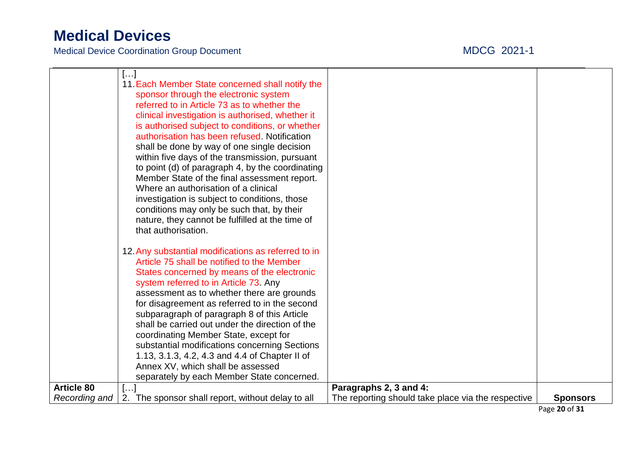Medical Device Coordination Group Document MDCG 2021-1

|                   | $[]$<br>11. Each Member State concerned shall notify the |                                                    |                 |
|-------------------|----------------------------------------------------------|----------------------------------------------------|-----------------|
|                   | sponsor through the electronic system                    |                                                    |                 |
|                   | referred to in Article 73 as to whether the              |                                                    |                 |
|                   | clinical investigation is authorised, whether it         |                                                    |                 |
|                   | is authorised subject to conditions, or whether          |                                                    |                 |
|                   | authorisation has been refused. Notification             |                                                    |                 |
|                   | shall be done by way of one single decision              |                                                    |                 |
|                   | within five days of the transmission, pursuant           |                                                    |                 |
|                   | to point (d) of paragraph 4, by the coordinating         |                                                    |                 |
|                   | Member State of the final assessment report.             |                                                    |                 |
|                   | Where an authorisation of a clinical                     |                                                    |                 |
|                   | investigation is subject to conditions, those            |                                                    |                 |
|                   | conditions may only be such that, by their               |                                                    |                 |
|                   | nature, they cannot be fulfilled at the time of          |                                                    |                 |
|                   | that authorisation.                                      |                                                    |                 |
|                   | 12. Any substantial modifications as referred to in      |                                                    |                 |
|                   | Article 75 shall be notified to the Member               |                                                    |                 |
|                   | States concerned by means of the electronic              |                                                    |                 |
|                   | system referred to in Article 73. Any                    |                                                    |                 |
|                   | assessment as to whether there are grounds               |                                                    |                 |
|                   | for disagreement as referred to in the second            |                                                    |                 |
|                   | subparagraph of paragraph 8 of this Article              |                                                    |                 |
|                   | shall be carried out under the direction of the          |                                                    |                 |
|                   | coordinating Member State, except for                    |                                                    |                 |
|                   | substantial modifications concerning Sections            |                                                    |                 |
|                   | 1.13, 3.1.3, 4.2, 4.3 and 4.4 of Chapter II of           |                                                    |                 |
|                   | Annex XV, which shall be assessed                        |                                                    |                 |
| <b>Article 80</b> | separately by each Member State concerned.               | Paragraphs 2, 3 and 4:                             |                 |
| Recording and     | []<br>2. The sponsor shall report, without delay to all  | The reporting should take place via the respective | <b>Sponsors</b> |
|                   |                                                          |                                                    |                 |

Page **20** of **31**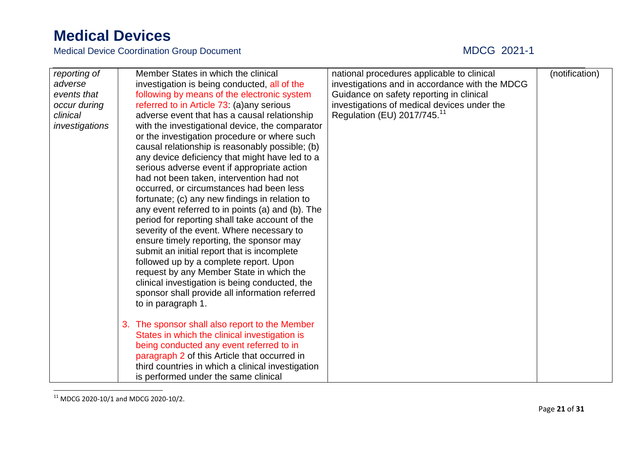| reporting of<br>adverse<br>events that<br>occur during<br>clinical<br>investigations | Member States in which the clinical<br>investigation is being conducted, all of the<br>following by means of the electronic system<br>referred to in Article 73: (a) any serious<br>adverse event that has a causal relationship<br>with the investigational device, the comparator<br>or the investigation procedure or where such<br>causal relationship is reasonably possible; (b)<br>any device deficiency that might have led to a<br>serious adverse event if appropriate action<br>had not been taken, intervention had not<br>occurred, or circumstances had been less<br>fortunate; (c) any new findings in relation to<br>any event referred to in points (a) and (b). The<br>period for reporting shall take account of the<br>severity of the event. Where necessary to<br>ensure timely reporting, the sponsor may<br>submit an initial report that is incomplete<br>followed up by a complete report. Upon<br>request by any Member State in which the<br>clinical investigation is being conducted, the<br>sponsor shall provide all information referred<br>to in paragraph 1. | national procedures applicable to clinical<br>investigations and in accordance with the MDCG<br>Guidance on safety reporting in clinical<br>investigations of medical devices under the<br>Regulation (EU) 2017/745. <sup>11</sup> | (notification) |
|--------------------------------------------------------------------------------------|-------------------------------------------------------------------------------------------------------------------------------------------------------------------------------------------------------------------------------------------------------------------------------------------------------------------------------------------------------------------------------------------------------------------------------------------------------------------------------------------------------------------------------------------------------------------------------------------------------------------------------------------------------------------------------------------------------------------------------------------------------------------------------------------------------------------------------------------------------------------------------------------------------------------------------------------------------------------------------------------------------------------------------------------------------------------------------------------------|------------------------------------------------------------------------------------------------------------------------------------------------------------------------------------------------------------------------------------|----------------|
|                                                                                      | 3. The sponsor shall also report to the Member<br>States in which the clinical investigation is<br>being conducted any event referred to in<br>paragraph 2 of this Article that occurred in<br>third countries in which a clinical investigation<br>is performed under the same clinical                                                                                                                                                                                                                                                                                                                                                                                                                                                                                                                                                                                                                                                                                                                                                                                                        |                                                                                                                                                                                                                                    |                |

 $\overline{a}$  $11$  MDCG 2020-10/1 and MDCG 2020-10/2.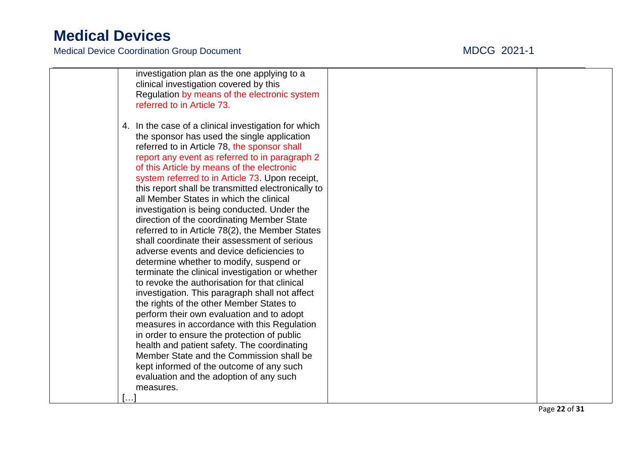Medical Device Coordination Group Document

### $21 - 1$

| investigation plan as the one applying to a          |  |
|------------------------------------------------------|--|
| clinical investigation covered by this               |  |
| Regulation by means of the electronic system         |  |
| referred to in Article 73.                           |  |
|                                                      |  |
| 4. In the case of a clinical investigation for which |  |
| the sponsor has used the single application          |  |
| referred to in Article 78, the sponsor shall         |  |
| report any event as referred to in paragraph 2       |  |
| of this Article by means of the electronic           |  |
| system referred to in Article 73. Upon receipt,      |  |
| this report shall be transmitted electronically to   |  |
| all Member States in which the clinical              |  |
| investigation is being conducted. Under the          |  |
| direction of the coordinating Member State           |  |
| referred to in Article 78(2), the Member States      |  |
| shall coordinate their assessment of serious         |  |
| adverse events and device deficiencies to            |  |
| determine whether to modify, suspend or              |  |
| terminate the clinical investigation or whether      |  |
| to revoke the authorisation for that clinical        |  |
| investigation. This paragraph shall not affect       |  |
| the rights of the other Member States to             |  |
| perform their own evaluation and to adopt            |  |
| measures in accordance with this Regulation          |  |
| in order to ensure the protection of public          |  |
| health and patient safety. The coordinating          |  |
| Member State and the Commission shall be             |  |
| kept informed of the outcome of any such             |  |
| evaluation and the adoption of any such              |  |
| measures.                                            |  |
| . 1                                                  |  |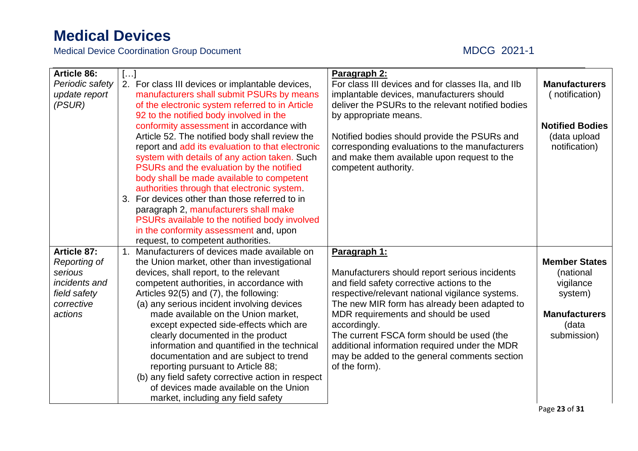| <b>Article 86:</b> | [] |                                                   | Paragraph 2:                                       |                        |
|--------------------|----|---------------------------------------------------|----------------------------------------------------|------------------------|
| Periodic safety    |    | 2. For class III devices or implantable devices,  | For class III devices and for classes IIa, and IIb | <b>Manufacturers</b>   |
| update report      |    | manufacturers shall submit PSURs by means         | implantable devices, manufacturers should          | (notification)         |
| (PSUR)             |    | of the electronic system referred to in Article   | deliver the PSURs to the relevant notified bodies  |                        |
|                    |    | 92 to the notified body involved in the           | by appropriate means.                              |                        |
|                    |    | conformity assessment in accordance with          |                                                    | <b>Notified Bodies</b> |
|                    |    | Article 52. The notified body shall review the    | Notified bodies should provide the PSURs and       | (data upload           |
|                    |    | report and add its evaluation to that electronic  | corresponding evaluations to the manufacturers     | notification)          |
|                    |    | system with details of any action taken. Such     | and make them available upon request to the        |                        |
|                    |    | PSURs and the evaluation by the notified          | competent authority.                               |                        |
|                    |    | body shall be made available to competent         |                                                    |                        |
|                    |    | authorities through that electronic system.       |                                                    |                        |
|                    |    | 3. For devices other than those referred to in    |                                                    |                        |
|                    |    | paragraph 2, manufacturers shall make             |                                                    |                        |
|                    |    | PSURs available to the notified body involved     |                                                    |                        |
|                    |    | in the conformity assessment and, upon            |                                                    |                        |
|                    |    | request, to competent authorities.                |                                                    |                        |
| <b>Article 87:</b> |    | 1. Manufacturers of devices made available on     | Paragraph 1:                                       |                        |
| Reporting of       |    | the Union market, other than investigational      |                                                    | <b>Member States</b>   |
| serious            |    | devices, shall report, to the relevant            | Manufacturers should report serious incidents      | (national              |
| incidents and      |    | competent authorities, in accordance with         | and field safety corrective actions to the         | vigilance              |
| field safety       |    | Articles 92(5) and (7), the following:            | respective/relevant national vigilance systems.    | system)                |
| corrective         |    | (a) any serious incident involving devices        | The new MIR form has already been adapted to       |                        |
| actions            |    | made available on the Union market,               | MDR requirements and should be used                | <b>Manufacturers</b>   |
|                    |    | except expected side-effects which are            | accordingly.                                       | (data                  |
|                    |    | clearly documented in the product                 | The current FSCA form should be used (the          | submission)            |
|                    |    | information and quantified in the technical       | additional information required under the MDR      |                        |
|                    |    | documentation and are subject to trend            | may be added to the general comments section       |                        |
|                    |    | reporting pursuant to Article 88;                 | of the form).                                      |                        |
|                    |    | (b) any field safety corrective action in respect |                                                    |                        |
|                    |    | of devices made available on the Union            |                                                    |                        |
|                    |    | market, including any field safety                |                                                    |                        |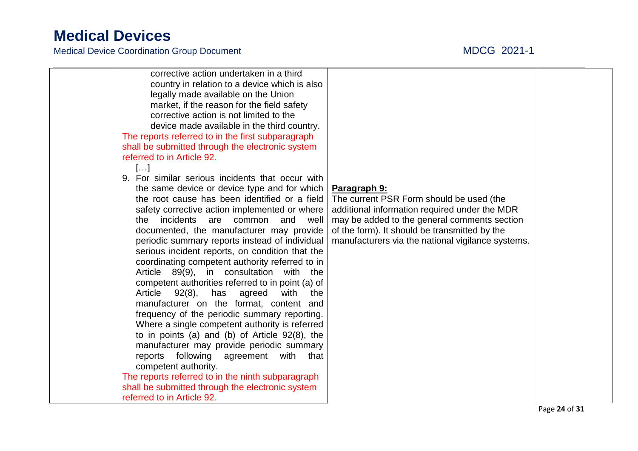| corrective action undertaken in a third<br>country in relation to a device which is also<br>legally made available on the Union<br>market, if the reason for the field safety<br>corrective action is not limited to the<br>device made available in the third country.<br>The reports referred to in the first subparagraph<br>shall be submitted through the electronic system<br>referred to in Article 92.<br>$\left[\ldots\right]$<br>9. For similar serious incidents that occur with<br>the same device or device type and for which<br>the root cause has been identified or a field<br>safety corrective action implemented or where<br>incidents<br>and<br>common<br>well<br>the<br>are<br>documented, the manufacturer may provide<br>periodic summary reports instead of individual<br>serious incident reports, on condition that the<br>coordinating competent authority referred to in<br>Article 89(9), in consultation with the<br>competent authorities referred to in point (a) of | Paragraph 9:<br>The current PSR Form should be used (the<br>additional information required under the MDR<br>may be added to the general comments section<br>of the form). It should be transmitted by the<br>manufacturers via the national vigilance systems. |  |
|-------------------------------------------------------------------------------------------------------------------------------------------------------------------------------------------------------------------------------------------------------------------------------------------------------------------------------------------------------------------------------------------------------------------------------------------------------------------------------------------------------------------------------------------------------------------------------------------------------------------------------------------------------------------------------------------------------------------------------------------------------------------------------------------------------------------------------------------------------------------------------------------------------------------------------------------------------------------------------------------------------|-----------------------------------------------------------------------------------------------------------------------------------------------------------------------------------------------------------------------------------------------------------------|--|
|                                                                                                                                                                                                                                                                                                                                                                                                                                                                                                                                                                                                                                                                                                                                                                                                                                                                                                                                                                                                       |                                                                                                                                                                                                                                                                 |  |
|                                                                                                                                                                                                                                                                                                                                                                                                                                                                                                                                                                                                                                                                                                                                                                                                                                                                                                                                                                                                       |                                                                                                                                                                                                                                                                 |  |
|                                                                                                                                                                                                                                                                                                                                                                                                                                                                                                                                                                                                                                                                                                                                                                                                                                                                                                                                                                                                       |                                                                                                                                                                                                                                                                 |  |
|                                                                                                                                                                                                                                                                                                                                                                                                                                                                                                                                                                                                                                                                                                                                                                                                                                                                                                                                                                                                       |                                                                                                                                                                                                                                                                 |  |
|                                                                                                                                                                                                                                                                                                                                                                                                                                                                                                                                                                                                                                                                                                                                                                                                                                                                                                                                                                                                       |                                                                                                                                                                                                                                                                 |  |
|                                                                                                                                                                                                                                                                                                                                                                                                                                                                                                                                                                                                                                                                                                                                                                                                                                                                                                                                                                                                       |                                                                                                                                                                                                                                                                 |  |
|                                                                                                                                                                                                                                                                                                                                                                                                                                                                                                                                                                                                                                                                                                                                                                                                                                                                                                                                                                                                       |                                                                                                                                                                                                                                                                 |  |
|                                                                                                                                                                                                                                                                                                                                                                                                                                                                                                                                                                                                                                                                                                                                                                                                                                                                                                                                                                                                       |                                                                                                                                                                                                                                                                 |  |
|                                                                                                                                                                                                                                                                                                                                                                                                                                                                                                                                                                                                                                                                                                                                                                                                                                                                                                                                                                                                       |                                                                                                                                                                                                                                                                 |  |
|                                                                                                                                                                                                                                                                                                                                                                                                                                                                                                                                                                                                                                                                                                                                                                                                                                                                                                                                                                                                       |                                                                                                                                                                                                                                                                 |  |
|                                                                                                                                                                                                                                                                                                                                                                                                                                                                                                                                                                                                                                                                                                                                                                                                                                                                                                                                                                                                       |                                                                                                                                                                                                                                                                 |  |
|                                                                                                                                                                                                                                                                                                                                                                                                                                                                                                                                                                                                                                                                                                                                                                                                                                                                                                                                                                                                       |                                                                                                                                                                                                                                                                 |  |
| 92(8),<br>Article<br>has agreed<br>with<br>the                                                                                                                                                                                                                                                                                                                                                                                                                                                                                                                                                                                                                                                                                                                                                                                                                                                                                                                                                        |                                                                                                                                                                                                                                                                 |  |
| manufacturer on the format, content and                                                                                                                                                                                                                                                                                                                                                                                                                                                                                                                                                                                                                                                                                                                                                                                                                                                                                                                                                               |                                                                                                                                                                                                                                                                 |  |
| frequency of the periodic summary reporting.                                                                                                                                                                                                                                                                                                                                                                                                                                                                                                                                                                                                                                                                                                                                                                                                                                                                                                                                                          |                                                                                                                                                                                                                                                                 |  |
| Where a single competent authority is referred                                                                                                                                                                                                                                                                                                                                                                                                                                                                                                                                                                                                                                                                                                                                                                                                                                                                                                                                                        |                                                                                                                                                                                                                                                                 |  |
| to in points (a) and (b) of Article $92(8)$ , the                                                                                                                                                                                                                                                                                                                                                                                                                                                                                                                                                                                                                                                                                                                                                                                                                                                                                                                                                     |                                                                                                                                                                                                                                                                 |  |
| manufacturer may provide periodic summary<br>that                                                                                                                                                                                                                                                                                                                                                                                                                                                                                                                                                                                                                                                                                                                                                                                                                                                                                                                                                     |                                                                                                                                                                                                                                                                 |  |
| reports following agreement with<br>competent authority.                                                                                                                                                                                                                                                                                                                                                                                                                                                                                                                                                                                                                                                                                                                                                                                                                                                                                                                                              |                                                                                                                                                                                                                                                                 |  |
| The reports referred to in the ninth subparagraph                                                                                                                                                                                                                                                                                                                                                                                                                                                                                                                                                                                                                                                                                                                                                                                                                                                                                                                                                     |                                                                                                                                                                                                                                                                 |  |
| shall be submitted through the electronic system                                                                                                                                                                                                                                                                                                                                                                                                                                                                                                                                                                                                                                                                                                                                                                                                                                                                                                                                                      |                                                                                                                                                                                                                                                                 |  |
| referred to in Article 92.                                                                                                                                                                                                                                                                                                                                                                                                                                                                                                                                                                                                                                                                                                                                                                                                                                                                                                                                                                            |                                                                                                                                                                                                                                                                 |  |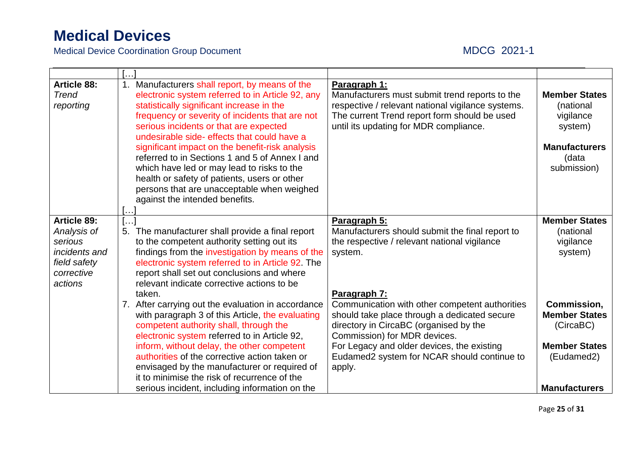| <b>Article 88:</b><br><b>Trend</b><br>reporting | 1.  | Manufacturers shall report, by means of the<br>electronic system referred to in Article 92, any<br>statistically significant increase in the<br>frequency or severity of incidents that are not<br>serious incidents or that are expected<br>undesirable side- effects that could have a<br>significant impact on the benefit-risk analysis<br>referred to in Sections 1 and 5 of Annex I and<br>which have led or may lead to risks to the<br>health or safety of patients, users or other<br>persons that are unacceptable when weighed<br>against the intended benefits. | Paragraph 1:<br>Manufacturers must submit trend reports to the<br>respective / relevant national vigilance systems.<br>The current Trend report form should be used<br>until its updating for MDR compliance. | <b>Member States</b><br>(national<br>vigilance<br>system)<br><b>Manufacturers</b><br>(data<br>submission) |
|-------------------------------------------------|-----|-----------------------------------------------------------------------------------------------------------------------------------------------------------------------------------------------------------------------------------------------------------------------------------------------------------------------------------------------------------------------------------------------------------------------------------------------------------------------------------------------------------------------------------------------------------------------------|---------------------------------------------------------------------------------------------------------------------------------------------------------------------------------------------------------------|-----------------------------------------------------------------------------------------------------------|
| <b>Article 89:</b>                              | […] |                                                                                                                                                                                                                                                                                                                                                                                                                                                                                                                                                                             | Paragraph 5:                                                                                                                                                                                                  | <b>Member States</b>                                                                                      |
| Analysis of                                     |     | 5. The manufacturer shall provide a final report                                                                                                                                                                                                                                                                                                                                                                                                                                                                                                                            | Manufacturers should submit the final report to                                                                                                                                                               | (national                                                                                                 |
| serious                                         |     | to the competent authority setting out its                                                                                                                                                                                                                                                                                                                                                                                                                                                                                                                                  | the respective / relevant national vigilance                                                                                                                                                                  | vigilance                                                                                                 |
| <i>incidents and</i>                            |     | findings from the investigation by means of the                                                                                                                                                                                                                                                                                                                                                                                                                                                                                                                             | system.                                                                                                                                                                                                       | system)                                                                                                   |
| field safety                                    |     | electronic system referred to in Article 92. The                                                                                                                                                                                                                                                                                                                                                                                                                                                                                                                            |                                                                                                                                                                                                               |                                                                                                           |
| corrective                                      |     | report shall set out conclusions and where                                                                                                                                                                                                                                                                                                                                                                                                                                                                                                                                  |                                                                                                                                                                                                               |                                                                                                           |
| actions                                         |     | relevant indicate corrective actions to be                                                                                                                                                                                                                                                                                                                                                                                                                                                                                                                                  |                                                                                                                                                                                                               |                                                                                                           |
|                                                 |     | taken.<br>7. After carrying out the evaluation in accordance                                                                                                                                                                                                                                                                                                                                                                                                                                                                                                                | Paragraph 7:<br>Communication with other competent authorities                                                                                                                                                | Commission,                                                                                               |
|                                                 |     | with paragraph 3 of this Article, the evaluating                                                                                                                                                                                                                                                                                                                                                                                                                                                                                                                            | should take place through a dedicated secure                                                                                                                                                                  | <b>Member States</b>                                                                                      |
|                                                 |     | competent authority shall, through the                                                                                                                                                                                                                                                                                                                                                                                                                                                                                                                                      | directory in CircaBC (organised by the                                                                                                                                                                        | (CircaBC)                                                                                                 |
|                                                 |     | electronic system referred to in Article 92,                                                                                                                                                                                                                                                                                                                                                                                                                                                                                                                                | Commission) for MDR devices.                                                                                                                                                                                  |                                                                                                           |
|                                                 |     | inform, without delay, the other competent                                                                                                                                                                                                                                                                                                                                                                                                                                                                                                                                  | For Legacy and older devices, the existing                                                                                                                                                                    | <b>Member States</b>                                                                                      |
|                                                 |     | authorities of the corrective action taken or                                                                                                                                                                                                                                                                                                                                                                                                                                                                                                                               | Eudamed2 system for NCAR should continue to                                                                                                                                                                   | (Eudamed2)                                                                                                |
|                                                 |     | envisaged by the manufacturer or required of                                                                                                                                                                                                                                                                                                                                                                                                                                                                                                                                | apply.                                                                                                                                                                                                        |                                                                                                           |
|                                                 |     | it to minimise the risk of recurrence of the                                                                                                                                                                                                                                                                                                                                                                                                                                                                                                                                |                                                                                                                                                                                                               |                                                                                                           |
|                                                 |     | serious incident, including information on the                                                                                                                                                                                                                                                                                                                                                                                                                                                                                                                              |                                                                                                                                                                                                               | <b>Manufacturers</b>                                                                                      |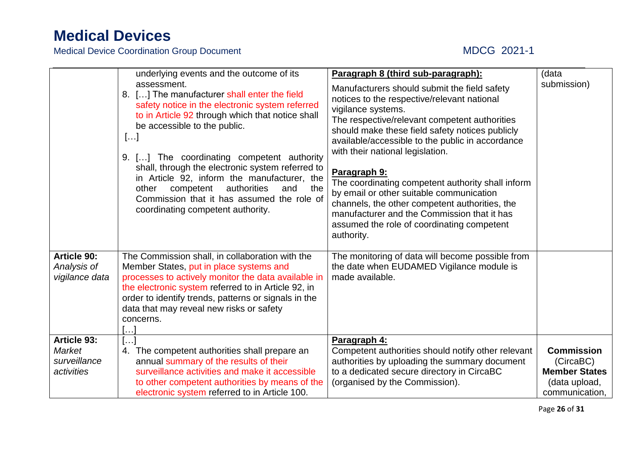|                                                            | underlying events and the outcome of its<br>assessment.<br>8. [] The manufacturer shall enter the field<br>safety notice in the electronic system referred<br>to in Article 92 through which that notice shall<br>be accessible to the public.<br>[]<br>9. [] The coordinating competent authority<br>shall, through the electronic system referred to<br>in Article 92, inform the manufacturer, the<br>authorities<br>competent<br>other<br>and<br>the<br>Commission that it has assumed the role of<br>coordinating competent authority. | Paragraph 8 (third sub-paragraph):<br>Manufacturers should submit the field safety<br>notices to the respective/relevant national<br>vigilance systems.<br>The respective/relevant competent authorities<br>should make these field safety notices publicly<br>available/accessible to the public in accordance<br>with their national legislation.<br>Paragraph 9:<br>The coordinating competent authority shall inform<br>by email or other suitable communication<br>channels, the other competent authorities, the<br>manufacturer and the Commission that it has<br>assumed the role of coordinating competent<br>authority. | (data<br>submission)                                                                      |
|------------------------------------------------------------|---------------------------------------------------------------------------------------------------------------------------------------------------------------------------------------------------------------------------------------------------------------------------------------------------------------------------------------------------------------------------------------------------------------------------------------------------------------------------------------------------------------------------------------------|-----------------------------------------------------------------------------------------------------------------------------------------------------------------------------------------------------------------------------------------------------------------------------------------------------------------------------------------------------------------------------------------------------------------------------------------------------------------------------------------------------------------------------------------------------------------------------------------------------------------------------------|-------------------------------------------------------------------------------------------|
| <b>Article 90:</b><br>Analysis of<br>vigilance data        | The Commission shall, in collaboration with the<br>Member States, put in place systems and<br>processes to actively monitor the data available in<br>the electronic system referred to in Article 92, in<br>order to identify trends, patterns or signals in the<br>data that may reveal new risks or safety<br>concerns.<br>$[\dots]$                                                                                                                                                                                                      | The monitoring of data will become possible from<br>the date when EUDAMED Vigilance module is<br>made available.                                                                                                                                                                                                                                                                                                                                                                                                                                                                                                                  |                                                                                           |
| Article 93:<br><b>Market</b><br>surveillance<br>activities | $[]$<br>4. The competent authorities shall prepare an<br>annual summary of the results of their<br>surveillance activities and make it accessible<br>to other competent authorities by means of the<br>electronic system referred to in Article 100.                                                                                                                                                                                                                                                                                        | Paragraph 4:<br>Competent authorities should notify other relevant<br>authorities by uploading the summary document<br>to a dedicated secure directory in CircaBC<br>(organised by the Commission).                                                                                                                                                                                                                                                                                                                                                                                                                               | <b>Commission</b><br>(CircaBC)<br><b>Member States</b><br>(data upload,<br>communication, |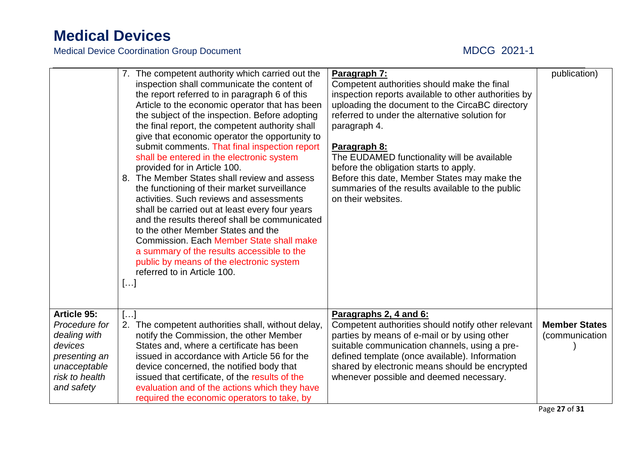|                                                                                                                                 | provided for in Article 100.<br>to the other Member States and the<br>referred to in Article 100.<br>[] | 7. The competent authority which carried out the<br>inspection shall communicate the content of<br>the report referred to in paragraph 6 of this<br>Article to the economic operator that has been<br>the subject of the inspection. Before adopting<br>the final report, the competent authority shall<br>give that economic operator the opportunity to<br>submit comments. That final inspection report<br>shall be entered in the electronic system<br>8. The Member States shall review and assess<br>the functioning of their market surveillance<br>activities. Such reviews and assessments<br>shall be carried out at least every four years<br>and the results thereof shall be communicated<br><b>Commission. Each Member State shall make</b><br>a summary of the results accessible to the<br>public by means of the electronic system | Paragraph 7:<br>Competent authorities should make the final<br>inspection reports available to other authorities by<br>uploading the document to the CircaBC directory<br>referred to under the alternative solution for<br>paragraph 4.<br>Paragraph 8:<br>The EUDAMED functionality will be available<br>before the obligation starts to apply.<br>Before this date, Member States may make the<br>summaries of the results available to the public<br>on their websites. | publication)                           |
|---------------------------------------------------------------------------------------------------------------------------------|---------------------------------------------------------------------------------------------------------|-----------------------------------------------------------------------------------------------------------------------------------------------------------------------------------------------------------------------------------------------------------------------------------------------------------------------------------------------------------------------------------------------------------------------------------------------------------------------------------------------------------------------------------------------------------------------------------------------------------------------------------------------------------------------------------------------------------------------------------------------------------------------------------------------------------------------------------------------------|-----------------------------------------------------------------------------------------------------------------------------------------------------------------------------------------------------------------------------------------------------------------------------------------------------------------------------------------------------------------------------------------------------------------------------------------------------------------------------|----------------------------------------|
| <b>Article 95:</b><br>Procedure for<br>dealing with<br>devices<br>presenting an<br>unacceptable<br>risk to health<br>and safety | $[]$                                                                                                    | 2. The competent authorities shall, without delay,<br>notify the Commission, the other Member<br>States and, where a certificate has been<br>issued in accordance with Article 56 for the<br>device concerned, the notified body that<br>issued that certificate, of the results of the<br>evaluation and of the actions which they have<br>required the economic operators to take, by                                                                                                                                                                                                                                                                                                                                                                                                                                                             | Paragraphs 2, 4 and 6:<br>Competent authorities should notify other relevant<br>parties by means of e-mail or by using other<br>suitable communication channels, using a pre-<br>defined template (once available). Information<br>shared by electronic means should be encrypted<br>whenever possible and deemed necessary.                                                                                                                                                | <b>Member States</b><br>(communication |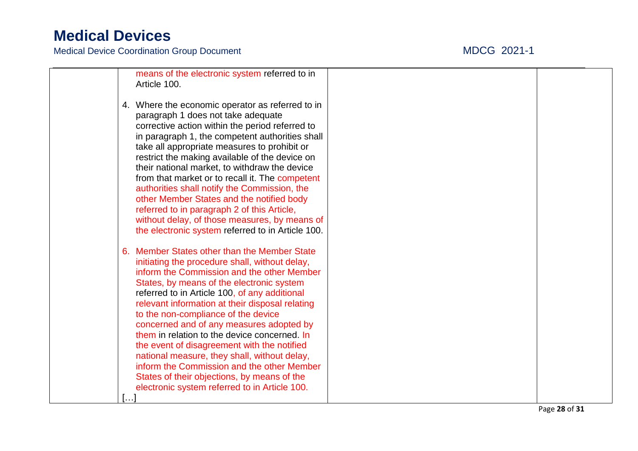Medical Device Coordination Group Document

### $21 - 1$

| means of the electronic system referred to in<br>Article 100.                                                                                                                                                                                                                                  |  |
|------------------------------------------------------------------------------------------------------------------------------------------------------------------------------------------------------------------------------------------------------------------------------------------------|--|
| 4. Where the economic operator as referred to in<br>paragraph 1 does not take adequate<br>corrective action within the period referred to<br>in paragraph 1, the competent authorities shall<br>take all appropriate measures to prohibit or                                                   |  |
| restrict the making available of the device on<br>their national market, to withdraw the device<br>from that market or to recall it. The competent<br>authorities shall notify the Commission, the<br>other Member States and the notified body<br>referred to in paragraph 2 of this Article, |  |
| without delay, of those measures, by means of<br>the electronic system referred to in Article 100.                                                                                                                                                                                             |  |
| 6. Member States other than the Member State<br>initiating the procedure shall, without delay,<br>inform the Commission and the other Member<br>States, by means of the electronic system<br>referred to in Article 100, of any additional                                                     |  |
| relevant information at their disposal relating<br>to the non-compliance of the device<br>concerned and of any measures adopted by<br>them in relation to the device concerned. In<br>the event of disagreement with the notified<br>national measure, they shall, without delay,              |  |
| inform the Commission and the other Member<br>States of their objections, by means of the<br>electronic system referred to in Article 100.<br>[]                                                                                                                                               |  |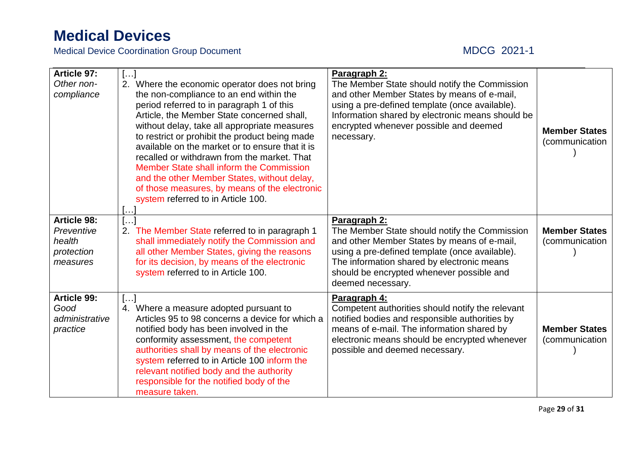| <b>Article 97:</b><br>Other non-<br>compliance                       | $\left[\ldots\right]$<br>2. Where the economic operator does not bring<br>the non-compliance to an end within the<br>period referred to in paragraph 1 of this<br>Article, the Member State concerned shall,<br>without delay, take all appropriate measures<br>to restrict or prohibit the product being made<br>available on the market or to ensure that it is<br>recalled or withdrawn from the market. That<br>Member State shall inform the Commission<br>and the other Member States, without delay,<br>of those measures, by means of the electronic<br>system referred to in Article 100. | Paragraph 2:<br>The Member State should notify the Commission<br>and other Member States by means of e-mail,<br>using a pre-defined template (once available).<br>Information shared by electronic means should be<br>encrypted whenever possible and deemed<br>necessary.     | <b>Member States</b><br>(communication) |
|----------------------------------------------------------------------|----------------------------------------------------------------------------------------------------------------------------------------------------------------------------------------------------------------------------------------------------------------------------------------------------------------------------------------------------------------------------------------------------------------------------------------------------------------------------------------------------------------------------------------------------------------------------------------------------|--------------------------------------------------------------------------------------------------------------------------------------------------------------------------------------------------------------------------------------------------------------------------------|-----------------------------------------|
| <b>Article 98:</b><br>Preventive<br>health<br>protection<br>measures | []<br>2. The Member State referred to in paragraph 1<br>shall immediately notify the Commission and<br>all other Member States, giving the reasons<br>for its decision, by means of the electronic<br>system referred to in Article 100.                                                                                                                                                                                                                                                                                                                                                           | Paragraph 2:<br>The Member State should notify the Commission<br>and other Member States by means of e-mail,<br>using a pre-defined template (once available).<br>The information shared by electronic means<br>should be encrypted whenever possible and<br>deemed necessary. | <b>Member States</b><br>(communication  |
| <b>Article 99:</b><br>Good<br>administrative<br>practice             | $\left[\ldots\right]$<br>4. Where a measure adopted pursuant to<br>Articles 95 to 98 concerns a device for which a<br>notified body has been involved in the<br>conformity assessment, the competent<br>authorities shall by means of the electronic<br>system referred to in Article 100 inform the<br>relevant notified body and the authority<br>responsible for the notified body of the<br>measure taken.                                                                                                                                                                                     | Paragraph 4:<br>Competent authorities should notify the relevant<br>notified bodies and responsible authorities by<br>means of e-mail. The information shared by<br>electronic means should be encrypted whenever<br>possible and deemed necessary.                            | <b>Member States</b><br>(communication  |